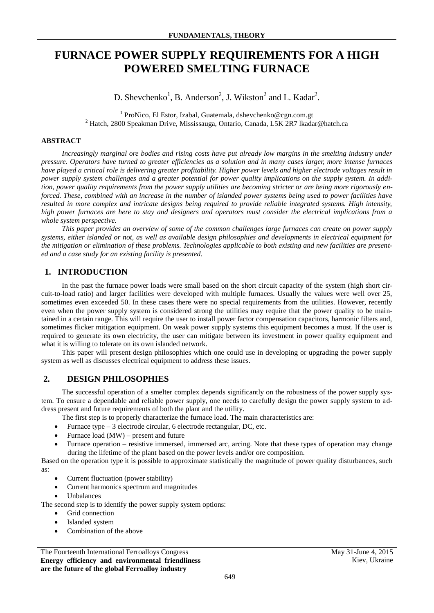# **FURNACE POWER SUPPLY REQUIREMENTS FOR A HIGH POWERED SMELTING FURNACE**

D. Shevchenko<sup>1</sup>, B. Anderson<sup>2</sup>, J. Wikston<sup>2</sup> and L. Kadar<sup>2</sup>.

<sup>1</sup> ProNico, El Estor, Izabal, Guatemala, dshevchenko@cgn.com.gt <sup>2</sup> Hatch, 2800 Speakman Drive, Mississauga, Ontario, Canada, L5K 2R7 lkadar@hatch.ca

## **ABSTRACT**

*Increasingly marginal ore bodies and rising costs have put already low margins in the smelting industry under pressure. Operators have turned to greater efficiencies as a solution and in many cases larger, more intense furnaces have played a critical role is delivering greater profitability. Higher power levels and higher electrode voltages result in*  power supply system challenges and a greater potential for power quality implications on the supply system. In addi*tion, power quality requirements from the power supply utilities are becoming stricter or are being more rigorously enforced. These, combined with an increase in the number of islanded power systems being used to power facilities have resulted in more complex and intricate designs being required to provide reliable integrated systems. High intensity, high power furnaces are here to stay and designers and operators must consider the electrical implications from a whole system perspective.*

*This paper provides an overview of some of the common challenges large furnaces can create on power supply systems, either islanded or not, as well as available design philosophies and developments in electrical equipment for the mitigation or elimination of these problems. Technologies applicable to both existing and new facilities are presented and a case study for an existing facility is presented.*

# **1. INTRODUCTION**

In the past the furnace power loads were small based on the short circuit capacity of the system (high short circuit-to-load ratio) and larger facilities were developed with multiple furnaces. Usually the values were well over 25, sometimes even exceeded 50. In these cases there were no special requirements from the utilities. However, recently even when the power supply system is considered strong the utilities may require that the power quality to be maintained in a certain range. This will require the user to install power factor compensation capacitors, harmonic filters and, sometimes flicker mitigation equipment. On weak power supply systems this equipment becomes a must. If the user is required to generate its own electricity, the user can mitigate between its investment in power quality equipment and what it is willing to tolerate on its own islanded network.

This paper will present design philosophies which one could use in developing or upgrading the power supply system as well as discusses electrical equipment to address these issues.

# **2. DESIGN PHILOSOPHIES**

The successful operation of a smelter complex depends significantly on the robustness of the power supply system. To ensure a dependable and reliable power supply, one needs to carefully design the power supply system to address present and future requirements of both the plant and the utility.

The first step is to properly characterize the furnace load. The main characteristics are:

- Furnace type 3 electrode circular, 6 electrode rectangular, DC, etc.
- Furnace load (MW) present and future
- Furnace operation resistive immersed, immersed arc, arcing. Note that these types of operation may change during the lifetime of the plant based on the power levels and/or ore composition.

Based on the operation type it is possible to approximate statistically the magnitude of power quality disturbances, such as:

- Current fluctuation (power stability)
- Current harmonics spectrum and magnitudes
- Unbalances

The second step is to identify the power supply system options:

- Grid connection
- Islanded system
- Combination of the above

The Fourteenth International Ferroalloys Congress May 31-June 4, 2015 **Energy efficiency and environmental friendliness are the future of the global Ferroalloy industry**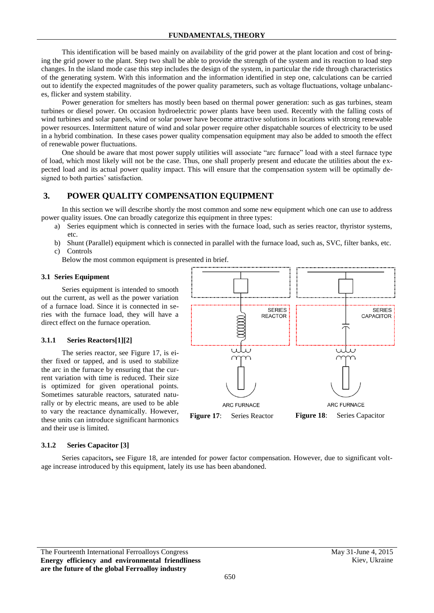This identification will be based mainly on availability of the grid power at the plant location and cost of bringing the grid power to the plant. Step two shall be able to provide the strength of the system and its reaction to load step changes. In the island mode case this step includes the design of the system, in particular the ride through characteristics of the generating system. With this information and the information identified in step one, calculations can be carried out to identify the expected magnitudes of the power quality parameters, such as voltage fluctuations, voltage unbalances, flicker and system stability.

Power generation for smelters has mostly been based on thermal power generation: such as gas turbines, steam turbines or diesel power. On occasion hydroelectric power plants have been used. Recently with the falling costs of wind turbines and solar panels, wind or solar power have become attractive solutions in locations with strong renewable power resources. Intermittent nature of wind and solar power require other dispatchable sources of electricity to be used in a hybrid combination. In these cases power quality compensation equipment may also be added to smooth the effect of renewable power fluctuations.

One should be aware that most power supply utilities will associate "arc furnace" load with a steel furnace type of load, which most likely will not be the case. Thus, one shall properly present and educate the utilities about the expected load and its actual power quality impact. This will ensure that the compensation system will be optimally designed to both parties' satisfaction.

# **3. POWER QUALITY COMPENSATION EQUIPMENT**

In this section we will describe shortly the most common and some new equipment which one can use to address power quality issues. One can broadly categorize this equipment in three types:

- a) Series equipment which is connected in series with the furnace load, such as series reactor, thyristor systems, etc.
- b) Shunt (Parallel) equipment which is connected in parallel with the furnace load, such as, SVC, filter banks, etc.
- c) Controls

Below the most common equipment is presented in brief.

#### **3.1 Series Equipment**

Series equipment is intended to smooth out the current, as well as the power variation of a furnace load. Since it is connected in series with the furnace load, they will have a direct effect on the furnace operation.

## **3.1.1 Series Reactor[s\[1\]\[2\]](#page-8-0)**

The series reactor, see [Figure 17,](#page-1-0) is either fixed or tapped, and is used to stabilize the arc in the furnace by ensuring that the current variation with time is reduced. Their size is optimized for given operational points. Sometimes saturable reactors, saturated naturally or by electric means, are used to be able to vary the reactance dynamically. However, these units can introduce significant harmonics and their use is limited.

<span id="page-1-1"></span><span id="page-1-0"></span>

## **3.1.2 Series Capacitor [\[3\]](#page-8-1)**

Series capacitors**,** see [Figure 18,](#page-1-1) are intended for power factor compensation. However, due to significant voltage increase introduced by this equipment, lately its use has been abandoned.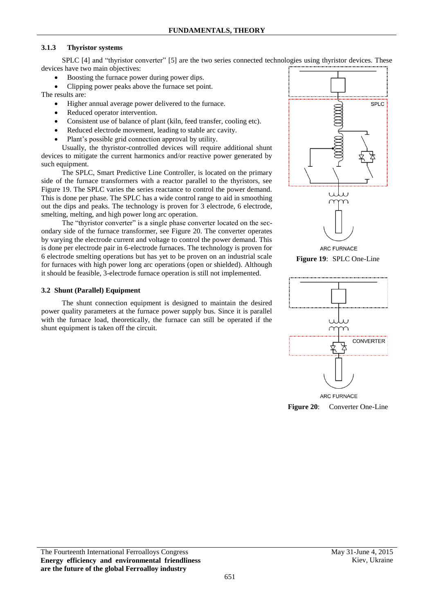## **3.1.3 Thyristor systems**

SPLC [\[4\]](#page-8-2) and "thyristor converter" [\[5\]](#page-8-3) are the two series connected technologies using thyristor devices. These devices have two main objectives:

Boosting the furnace power during power dips.

 Clipping power peaks above the furnace set point. The results are:

- Higher annual average power delivered to the furnace.
- Reduced operator intervention.
- Consistent use of balance of plant (kiln, feed transfer, cooling etc).
- Reduced electrode movement, leading to stable arc cavity.
- Plant's possible grid connection approval by utility.

Usually, the thyristor-controlled devices will require additional shunt devices to mitigate the current harmonics and/or reactive power generated by such equipment.

The SPLC, Smart Predictive Line Controller, is located on the primary side of the furnace transformers with a reactor parallel to the thyristors, see [Figure 19.](#page-2-0) The SPLC varies the series reactance to control the power demand. This is done per phase. The SPLC has a wide control range to aid in smoothing out the dips and peaks. The technology is proven for 3 electrode, 6 electrode, smelting, melting, and high power long arc operation.

The "thyristor converter" is a single phase converter located on the secondary side of the furnace transformer, see [Figure 20.](#page-2-1) The converter operates by varying the electrode current and voltage to control the power demand. This is done per electrode pair in 6-electrode furnaces. The technology is proven for 6 electrode smelting operations but has yet to be proven on an industrial scale for furnaces with high power long arc operations (open or shielded). Although it should be feasible, 3-electrode furnace operation is still not implemented.

#### **3.2 Shunt (Parallel) Equipment**

The shunt connection equipment is designed to maintain the desired power quality parameters at the furnace power supply bus. Since it is parallel with the furnace load, theoretically, the furnace can still be operated if the shunt equipment is taken off the circuit.



<span id="page-2-0"></span>**Figure 19**: SPLC One-Line



<span id="page-2-1"></span>**Figure 20**: Converter One-Line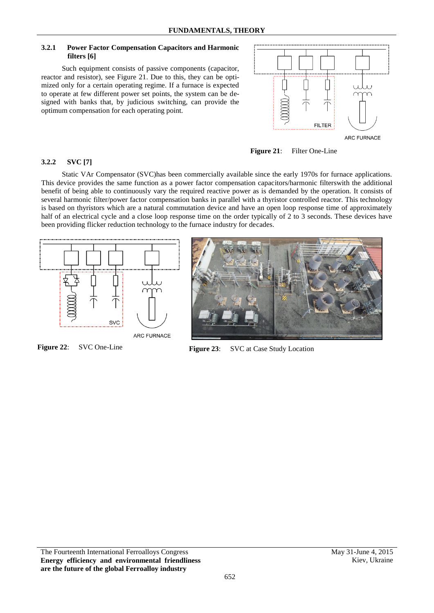### **3.2.1 Power Factor Compensation Capacitors and Harmonic filters [\[6\]](#page-8-4)**

Such equipment consists of passive components (capacitor, reactor and resistor), see [Figure 21.](#page-3-0) Due to this, they can be optimized only for a certain operating regime. If a furnace is expected to operate at few different power set points, the system can be designed with banks that, by judicious switching, can provide the optimum compensation for each operating point.



<span id="page-3-0"></span>**Figure 21**: Filter One-Line

## **3.2.2 SVC [\[7\]](#page-8-5)**

Static VAr Compensator (SVC)has been commercially available since the early 1970s for furnace applications. This device provides the same function as a power factor compensation capacitors/harmonic filterswith the additional benefit of being able to continuously vary the required reactive power as is demanded by the operation. It consists of several harmonic filter/power factor compensation banks in parallel with a thyristor controlled reactor. This technology is based on thyristors which are a natural commutation device and have an open loop response time of approximately half of an electrical cycle and a close loop response time on the order typically of 2 to 3 seconds. These devices have been providing flicker reduction technology to the furnace industry for decades.





**Figure 22**: SVC One-Line **Figure 23**: SVC at Case Study Location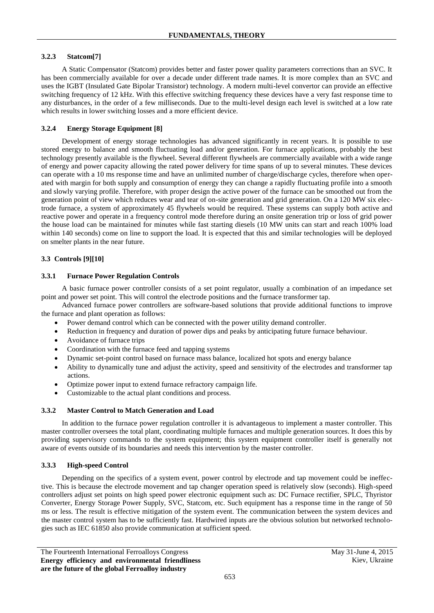## **3.2.3 Statco[m\[7\]](#page-8-6)**

A Static Compensator (Statcom) provides better and faster power quality parameters corrections than an SVC. It has been commercially available for over a decade under different trade names. It is more complex than an SVC and uses the IGBT (Insulated Gate Bipolar Transistor) technology. A modern multi-level convertor can provide an effective switching frequency of 12 kHz. With this effective switching frequency these devices have a very fast response time to any disturbances, in the order of a few milliseconds. Due to the multi-level design each level is switched at a low rate which results in lower switching losses and a more efficient device.

## **3.2.4 Energy Storage Equipment [\[8\]](#page-8-7)**

Development of energy storage technologies has advanced significantly in recent years. It is possible to use stored energy to balance and smooth fluctuating load and/or generation. For furnace applications, probably the best technology presently available is the flywheel. Several different flywheels are commercially available with a wide range of energy and power capacity allowing the rated power delivery for time spans of up to several minutes. These devices can operate with a 10 ms response time and have an unlimited number of charge/discharge cycles, therefore when operated with margin for both supply and consumption of energy they can change a rapidly fluctuating profile into a smooth and slowly varying profile. Therefore, with proper design the active power of the furnace can be smoothed out from the generation point of view which reduces wear and tear of on-site generation and grid generation. On a 120 MW six electrode furnace, a system of approximately 45 flywheels would be required. These systems can supply both active and reactive power and operate in a frequency control mode therefore during an onsite generation trip or loss of grid power the house load can be maintained for minutes while fast starting diesels (10 MW units can start and reach 100% load within 140 seconds) come on line to support the load. It is expected that this and similar technologies will be deployed on smelter plants in the near future.

## **3.3 Controls [\[9\]\[10\]](#page-8-8)**

## **3.3.1 Furnace Power Regulation Controls**

A basic furnace power controller consists of a set point regulator, usually a combination of an impedance set point and power set point. This will control the electrode positions and the furnace transformer tap.

Advanced furnace power controllers are software-based solutions that provide additional functions to improve the furnace and plant operation as follows:

- Power demand control which can be connected with the power utility demand controller.
- Reduction in frequency and duration of power dips and peaks by anticipating future furnace behaviour.
- Avoidance of furnace trips
- Coordination with the furnace feed and tapping systems
- Dynamic set-point control based on furnace mass balance, localized hot spots and energy balance
- Ability to dynamically tune and adjust the activity, speed and sensitivity of the electrodes and transformer tap actions.
- Optimize power input to extend furnace refractory campaign life.
- Customizable to the actual plant conditions and process.

## **3.3.2 Master Control to Match Generation and Load**

In addition to the furnace power regulation controller it is advantageous to implement a master controller. This master controller oversees the total plant, coordinating multiple furnaces and multiple generation sources. It does this by providing supervisory commands to the system equipment; this system equipment controller itself is generally not aware of events outside of its boundaries and needs this intervention by the master controller.

## **3.3.3 High-speed Control**

Depending on the specifics of a system event, power control by electrode and tap movement could be ineffective. This is because the electrode movement and tap changer operation speed is relatively slow (seconds). High-speed controllers adjust set points on high speed power electronic equipment such as: DC Furnace rectifier, SPLC, Thyristor Converter, Energy Storage Power Supply, SVC, Statcom, etc. Such equipment has a response time in the range of 50 ms or less. The result is effective mitigation of the system event. The communication between the system devices and the master control system has to be sufficiently fast. Hardwired inputs are the obvious solution but networked technologies such as IEC 61850 also provide communication at sufficient speed.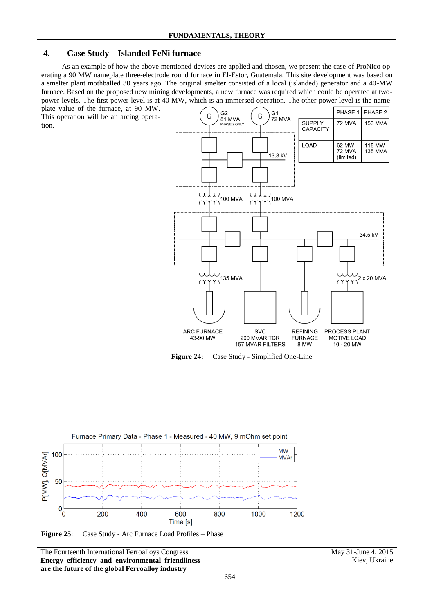## **4. Case Study – Islanded FeNi furnace**

tion.

As an example of how the above mentioned devices are applied and chosen, we present the case of ProNico operating a 90 MW nameplate three-electrode round furnace in El-Estor, Guatemala. This site development was based on a smelter plant mothballed 30 years ago. The original smelter consisted of a local (islanded) generator and a 40-MW furnace. Based on the proposed new mining developments, a new furnace was required which could be operated at twopower levels. The first power level is at 40 MW, which is an immersed operation. The other power level is the name-



<span id="page-5-0"></span>**Figure 24:** Case Study - Simplified One-Line



<span id="page-5-1"></span>**Figure 25**: Case Study - Arc Furnace Load Profiles – Phase 1

The Fourteenth International Ferroalloys Congress May 31-June 4, 2015 **Energy efficiency and environmental friendliness are the future of the global Ferroalloy industry**

Kiev, Ukraine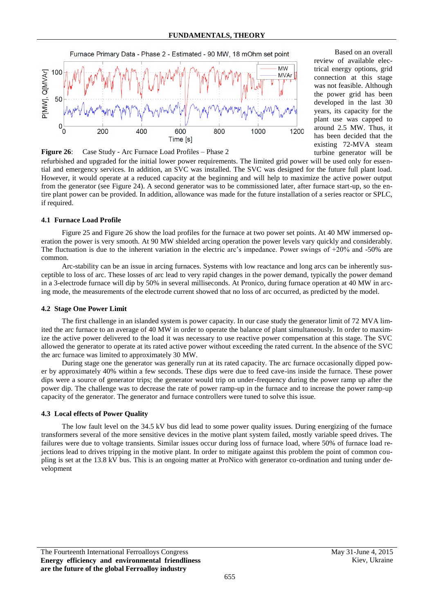

Based on an overall review of available electrical energy options, grid connection at this stage was not feasible. Although the power grid has been developed in the last 30 years, its capacity for the plant use was capped to around 2.5 MW. Thus, it has been decided that the existing 72-MVA steam turbine generator will be

<span id="page-6-0"></span>refurbished and upgraded for the initial lower power requirements. The limited grid power will be used only for essential and emergency services. In addition, an SVC was installed. The SVC was designed for the future full plant load. However, it would operate at a reduced capacity at the beginning and will help to maximize the active power output from the generator (see [Figure 24\)](#page-5-0). A second generator was to be commissioned later, after furnace start-up, so the entire plant power can be provided. In addition, allowance was made for the future installation of a series reactor or SPLC, if required. **Figure 26**: Case Study - Arc Furnace Load Profiles – Phase 2

#### **4.1 Furnace Load Profile**

[Figure 25](#page-5-1) and [Figure](#page-6-0) 26 show the load profiles for the furnace at two power set points. At 40 MW immersed operation the power is very smooth. At 90 MW shielded arcing operation the power levels vary quickly and considerably. The fluctuation is due to the inherent variation in the electric arc's impedance. Power swings of +20% and -50% are common.

Arc-stability can be an issue in arcing furnaces. Systems with low reactance and long arcs can be inherently susceptible to loss of arc. These losses of arc lead to very rapid changes in the power demand, typically the power demand in a 3-electrode furnace will dip by 50% in several milliseconds. At Pronico, during furnace operation at 40 MW in arcing mode, the measurements of the electrode current showed that no loss of arc occurred, as predicted by the model.

#### **4.2 Stage One Power Limit**

The first challenge in an islanded system is power capacity. In our case study the generator limit of 72 MVA limited the arc furnace to an average of 40 MW in order to operate the balance of plant simultaneously. In order to maximize the active power delivered to the load it was necessary to use reactive power compensation at this stage. The SVC allowed the generator to operate at its rated active power without exceeding the rated current. In the absence of the SVC the arc furnace was limited to approximately 30 MW.

During stage one the generator was generally run at its rated capacity. The arc furnace occasionally dipped power by approximately 40% within a few seconds. These dips were due to feed cave-ins inside the furnace. These power dips were a source of generator trips; the generator would trip on under-frequency during the power ramp up after the power dip. The challenge was to decrease the rate of power ramp-up in the furnace and to increase the power ramp-up capacity of the generator. The generator and furnace controllers were tuned to solve this issue.

#### **4.3 Local effects of Power Quality**

The low fault level on the 34.5 kV bus did lead to some power quality issues. During energizing of the furnace transformers several of the more sensitive devices in the motive plant system failed, mostly variable speed drives. The failures were due to voltage transients. Similar issues occur during loss of furnace load, where 50% of furnace load rejections lead to drives tripping in the motive plant. In order to mitigate against this problem the point of common coupling is set at the 13.8 kV bus. This is an ongoing matter at ProNico with generator co-ordination and tuning under development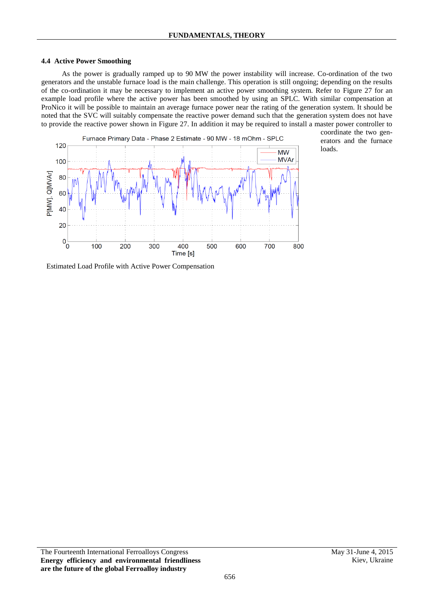#### **4.4 Active Power Smoothing**

As the power is gradually ramped up to 90 MW the power instability will increase. Co-ordination of the two generators and the unstable furnace load is the main challenge. This operation is still ongoing; depending on the results of the co-ordination it may be necessary to implement an active power smoothing system. Refer to [Figure 27](#page-7-0) for an example load profile where the active power has been smoothed by using an SPLC. With similar compensation at ProNico it will be possible to maintain an average furnace power near the rating of the generation system. It should be noted that the SVC will suitably compensate the reactive power demand such that the generation system does not have to provide the reactive power shown in [Figure 27.](#page-7-0) In addition it may be required to install a master power controller to



coordinate the two generators and the furnace loads.

<span id="page-7-0"></span>**Estimated Load Profile with Active Power Compensation**